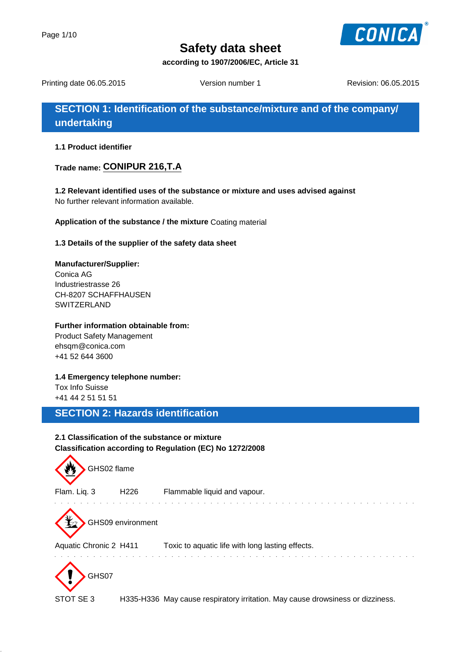

**according to 1907/2006/EC, Article 31**

Printing date 06.05.2015 Version number 1 Revision: 06.05.2015

**SECTION 1: Identification of the substance/mixture and of the company/ undertaking**

**1.1 Product identifier**

**Trade name: CONIPUR 216,T.A**

**1.2 Relevant identified uses of the substance or mixture and uses advised against** No further relevant information available.

**Application of the substance / the mixture** Coating material

**1.3 Details of the supplier of the safety data sheet**

**Manufacturer/Supplier:** Conica AG Industriestrasse 26 CH-8207 SCHAFFHAUSEN **SWITZERLAND** 

#### **Further information obtainable from:**

Product Safety Management ehsqm@conica.com +41 52 644 3600

**1.4 Emergency telephone number:**

Tox Info Suisse +41 44 2 51 51 51

# **SECTION 2: Hazards identification**

### **2.1 Classification of the substance or mixture Classification according to Regulation (EC) No 1272/2008**

| GHS02 flame            |                   |                                                                                |
|------------------------|-------------------|--------------------------------------------------------------------------------|
| Flam. Liq. 3           | H <sub>226</sub>  | Flammable liquid and vapour.                                                   |
|                        | GHS09 environment |                                                                                |
| Aquatic Chronic 2 H411 |                   | Toxic to aquatic life with long lasting effects.                               |
| GHS07<br>STOT SE3      |                   | H335-H336 May cause respiratory irritation. May cause drowsiness or dizziness. |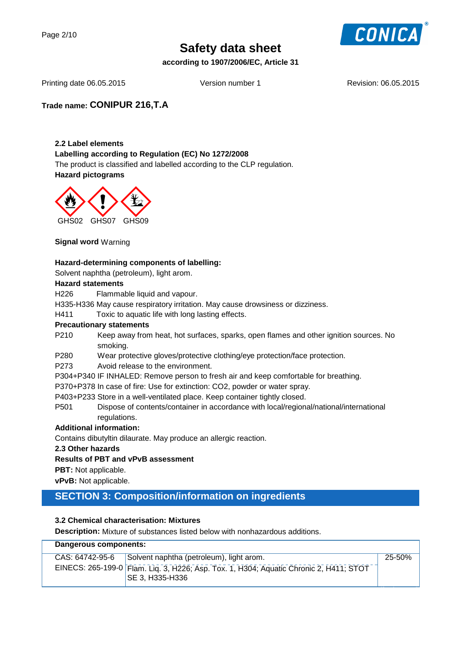

**according to 1907/2006/EC, Article 31**

Printing date 06.05.2015 Version number 1 Revision: 06.05.2015

**Trade name: CONIPUR 216,T.A**

#### **2.2 Label elements**

**Labelling according to Regulation (EC) No 1272/2008**

The product is classified and labelled according to the CLP regulation. **Hazard pictograms**



**Signal word** Warning

#### **Hazard-determining components of labelling:**

Solvent naphtha (petroleum), light arom.

#### **Hazard statements**

H226 Flammable liquid and vapour.

H335-H336 May cause respiratory irritation. May cause drowsiness or dizziness.

H411 Toxic to aquatic life with long lasting effects.

#### **Precautionary statements**

- P210 Keep away from heat, hot surfaces, sparks, open flames and other ignition sources. No smoking.
- P280 Wear protective gloves/protective clothing/eye protection/face protection.
- P273 Avoid release to the environment.
- P304+P340 IF INHALED: Remove person to fresh air and keep comfortable for breathing.

P370+P378 In case of fire: Use for extinction: CO2, powder or water spray.

P403+P233 Store in a well-ventilated place. Keep container tightly closed.

P501 Dispose of contents/container in accordance with local/regional/national/international regulations.

#### **Additional information:**

Contains dibutyltin dilaurate. May produce an allergic reaction.

#### **2.3 Other hazards**

#### **Results of PBT and vPvB assessment**

**PBT:** Not applicable.

**vPvB:** Not applicable.

## **SECTION 3: Composition/information on ingredients**

#### **3.2 Chemical characterisation: Mixtures**

**Description:** Mixture of substances listed below with nonhazardous additions.

| Dangerous components: |                 |                                                                                                                  |        |
|-----------------------|-----------------|------------------------------------------------------------------------------------------------------------------|--------|
|                       | CAS: 64742-95-6 | Solvent naphtha (petroleum), light arom.                                                                         | 25-50% |
|                       |                 | EINECS: 265-199-0 Flam. Lig. 3, H226; Asp. Tox. 1, H304; Aquatic Chronic 2, H411; STOT<br><b>SE 3, H335-H336</b> |        |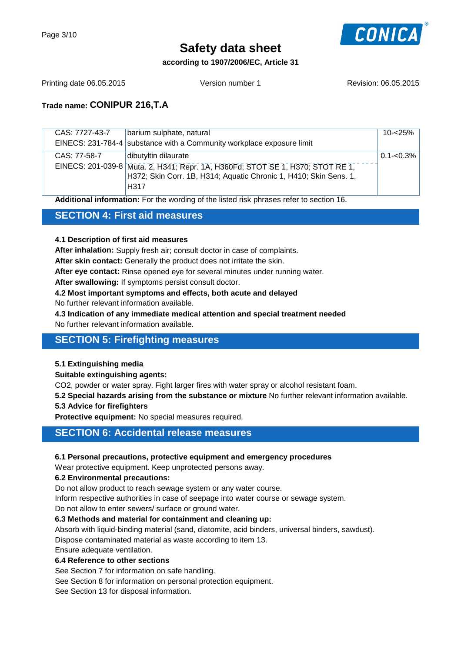

#### **according to 1907/2006/EC, Article 31**

Printing date 06.05.2015 Version number 1 Revision: 06.05.2015

### **Trade name: CONIPUR 216,T.A**

| CAS: 7727-43-7 | barium sulphate, natural                                                       | 10-<25%       |
|----------------|--------------------------------------------------------------------------------|---------------|
|                | EINECS: 231-784-4 substance with a Community workplace exposure limit          |               |
| CAS: 77-58-7   | dibutyltin dilaurate                                                           | $0.1 - 0.3\%$ |
|                | EINECS: 201-039-8 Muta. 2, H341; Repr. 1A, H360Fd; STOT SE 1, H370; STOT RE 1, |               |
|                | H372; Skin Corr. 1B, H314; Aquatic Chronic 1, H410; Skin Sens. 1,              |               |
|                | H <sub>317</sub>                                                               |               |
|                |                                                                                |               |

**Additional information:** For the wording of the listed risk phrases refer to section 16.

### **SECTION 4: First aid measures**

#### **4.1 Description of first aid measures**

**After inhalation:** Supply fresh air; consult doctor in case of complaints.

**After skin contact:** Generally the product does not irritate the skin.

**After eye contact:** Rinse opened eye for several minutes under running water.

**After swallowing:** If symptoms persist consult doctor.

**4.2 Most important symptoms and effects, both acute and delayed**

No further relevant information available.

**4.3 Indication of any immediate medical attention and special treatment needed**

No further relevant information available.

### **SECTION 5: Firefighting measures**

#### **5.1 Extinguishing media**

**Suitable extinguishing agents:**

CO2, powder or water spray. Fight larger fires with water spray or alcohol resistant foam.

**5.2 Special hazards arising from the substance or mixture** No further relevant information available.

#### **5.3 Advice for firefighters**

**Protective equipment:** No special measures required.

#### **SECTION 6: Accidental release measures**

#### **6.1 Personal precautions, protective equipment and emergency procedures**

Wear protective equipment. Keep unprotected persons away.

#### **6.2 Environmental precautions:**

Do not allow product to reach sewage system or any water course.

Inform respective authorities in case of seepage into water course or sewage system.

Do not allow to enter sewers/ surface or ground water.

#### **6.3 Methods and material for containment and cleaning up:**

Absorb with liquid-binding material (sand, diatomite, acid binders, universal binders, sawdust). Dispose contaminated material as waste according to item 13. Ensure adequate ventilation.

**6.4 Reference to other sections**

See Section 7 for information on safe handling.

See Section 8 for information on personal protection equipment.

See Section 13 for disposal information.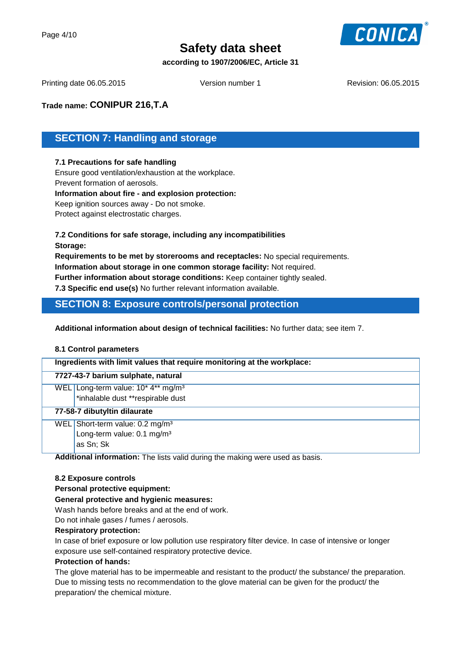

#### **according to 1907/2006/EC, Article 31**

Printing date 06.05.2015 Version number 1 Revision: 06.05.2015

**Trade name: CONIPUR 216,T.A**

# **SECTION 7: Handling and storage**

#### **7.1 Precautions for safe handling**

Ensure good ventilation/exhaustion at the workplace. Prevent formation of aerosols. **Information about fire - and explosion protection:** Keep ignition sources away - Do not smoke. Protect against electrostatic charges.

#### **7.2 Conditions for safe storage, including any incompatibilities Storage:**

**Requirements to be met by storerooms and receptacles:** No special requirements. **Information about storage in one common storage facility:** Not required.

**Further information about storage conditions:** Keep container tightly sealed.

**7.3 Specific end use(s)** No further relevant information available.

## **SECTION 8: Exposure controls/personal protection**

**Additional information about design of technical facilities:** No further data; see item 7.

#### **8.1 Control parameters**

| Ingredients with limit values that require monitoring at the workplace: |                                                |  |
|-------------------------------------------------------------------------|------------------------------------------------|--|
|                                                                         | 7727-43-7 barium sulphate, natural             |  |
|                                                                         | WEL Long-term value: 10* 4** mg/m <sup>3</sup> |  |
|                                                                         | *inhalable dust **respirable dust              |  |
|                                                                         | 77-58-7 dibutyltin dilaurate                   |  |
|                                                                         | WEL Short-term value: 0.2 mg/m <sup>3</sup>    |  |
|                                                                         | Long-term value: 0.1 mg/m <sup>3</sup>         |  |
|                                                                         | as Sn; Sk                                      |  |

**Additional information:** The lists valid during the making were used as basis.

#### **8.2 Exposure controls**

#### **Personal protective equipment:**

#### **General protective and hygienic measures:**

Wash hands before breaks and at the end of work.

Do not inhale gases / fumes / aerosols.

#### **Respiratory protection:**

In case of brief exposure or low pollution use respiratory filter device. In case of intensive or longer exposure use self-contained respiratory protective device.

#### **Protection of hands:**

The glove material has to be impermeable and resistant to the product/ the substance/ the preparation. Due to missing tests no recommendation to the glove material can be given for the product/ the preparation/ the chemical mixture.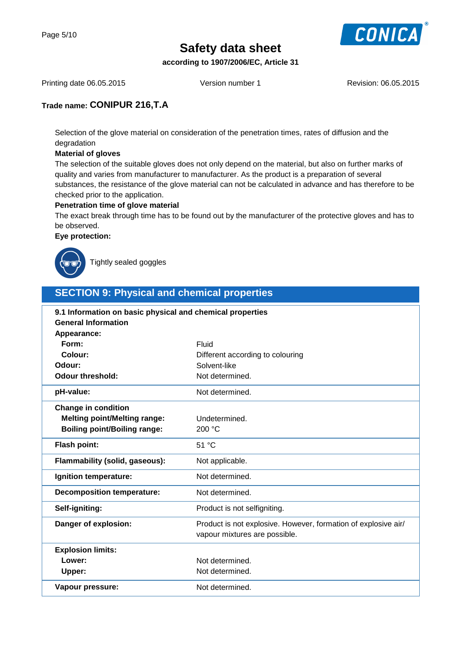

**according to 1907/2006/EC, Article 31**

Printing date 06.05.2015 Version number 1 Revision: 06.05.2015

### **Trade name: CONIPUR 216,T.A**

Selection of the glove material on consideration of the penetration times, rates of diffusion and the degradation

#### **Material of gloves**

The selection of the suitable gloves does not only depend on the material, but also on further marks of quality and varies from manufacturer to manufacturer. As the product is a preparation of several substances, the resistance of the glove material can not be calculated in advance and has therefore to be checked prior to the application.

#### **Penetration time of glove material**

The exact break through time has to be found out by the manufacturer of the protective gloves and has to be observed.

**Eye protection:**



Tightly sealed goggles

# **SECTION 9: Physical and chemical properties**

| 9.1 Information on basic physical and chemical properties |                                                                                                 |  |
|-----------------------------------------------------------|-------------------------------------------------------------------------------------------------|--|
| <b>General Information</b>                                |                                                                                                 |  |
| Appearance:                                               |                                                                                                 |  |
| Form:                                                     | Fluid                                                                                           |  |
| Colour:                                                   | Different according to colouring                                                                |  |
| Odour:                                                    | Solvent-like                                                                                    |  |
| <b>Odour threshold:</b>                                   | Not determined.                                                                                 |  |
| pH-value:                                                 | Not determined.                                                                                 |  |
| <b>Change in condition</b>                                |                                                                                                 |  |
| <b>Melting point/Melting range:</b>                       | Undetermined.                                                                                   |  |
| <b>Boiling point/Boiling range:</b>                       | 200 °C                                                                                          |  |
| <b>Flash point:</b>                                       | 51 °C                                                                                           |  |
| Flammability (solid, gaseous):                            | Not applicable.                                                                                 |  |
| Ignition temperature:                                     | Not determined.                                                                                 |  |
| <b>Decomposition temperature:</b>                         | Not determined.                                                                                 |  |
| Self-igniting:                                            | Product is not selfigniting.                                                                    |  |
| Danger of explosion:                                      | Product is not explosive. However, formation of explosive air/<br>vapour mixtures are possible. |  |
| <b>Explosion limits:</b>                                  |                                                                                                 |  |
| Lower:                                                    | Not determined.                                                                                 |  |
| Upper:                                                    | Not determined.                                                                                 |  |
| Vapour pressure:                                          | Not determined.                                                                                 |  |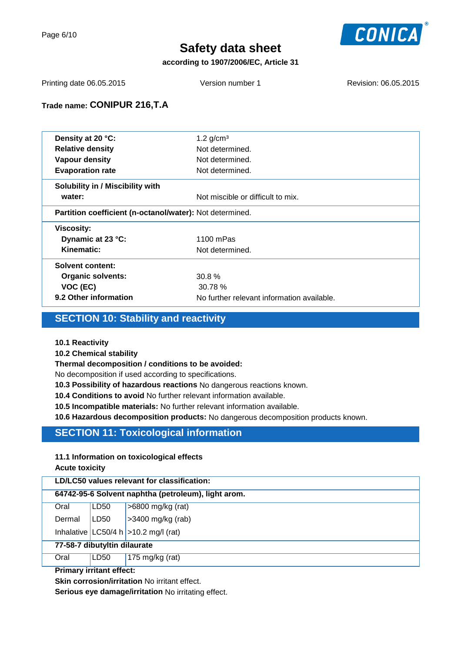

#### **according to 1907/2006/EC, Article 31**

Printing date 06.05.2015 Version number 1 Revision: 06.05.2015

### **Trade name: CONIPUR 216,T.A**

| Density at 20 °C:                                        | 1.2 $g/cm3$                                |
|----------------------------------------------------------|--------------------------------------------|
| <b>Relative density</b>                                  | Not determined.                            |
| <b>Vapour density</b>                                    | Not determined.                            |
| <b>Evaporation rate</b>                                  | Not determined.                            |
| Solubility in / Miscibility with                         |                                            |
| water:                                                   | Not miscible or difficult to mix.          |
| Partition coefficient (n-octanol/water): Not determined. |                                            |
| <b>Viscosity:</b>                                        |                                            |
| Dynamic at 23 °C:                                        | 1100 mPas                                  |
| Kinematic:                                               | Not determined.                            |
| <b>Solvent content:</b>                                  |                                            |
| Organic solvents:                                        | 30.8%                                      |
| VOC (EC)                                                 | 30.78%                                     |
| 9.2 Other information                                    | No further relevant information available. |
|                                                          |                                            |

# **SECTION 10: Stability and reactivity**

#### **10.1 Reactivity**

**10.2 Chemical stability**

#### **Thermal decomposition / conditions to be avoided:**

No decomposition if used according to specifications.

**10.3 Possibility of hazardous reactions** No dangerous reactions known.

**10.4 Conditions to avoid** No further relevant information available.

**10.5 Incompatible materials:** No further relevant information available.

**10.6 Hazardous decomposition products:** No dangerous decomposition products known.

# **SECTION 11: Toxicological information**

#### **11.1 Information on toxicological effects Acute toxicity**

| LD/LC50 values relevant for classification:         |      |                                           |
|-----------------------------------------------------|------|-------------------------------------------|
| 64742-95-6 Solvent naphtha (petroleum), light arom. |      |                                           |
| Oral                                                | LD50 | $>6800$ mg/kg (rat)                       |
| Dermal                                              | LD50 | >3400 mg/kg (rab)                         |
|                                                     |      | Inhalative $ LC50/4 h  > 10.2 mg/l$ (rat) |
| 77-58-7 dibutyltin dilaurate                        |      |                                           |
| Oral                                                | LD50 | 175 mg/kg (rat)                           |
| <b>Primary irritant effect:</b>                     |      |                                           |

**Skin corrosion/irritation** No irritant effect.

**Serious eye damage/irritation** No irritating effect.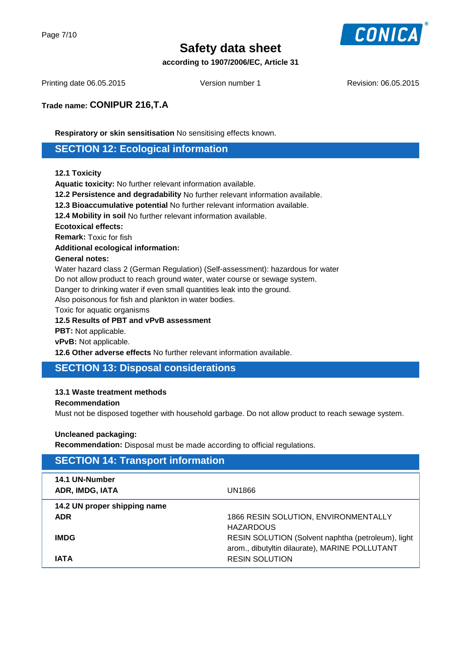

#### **according to 1907/2006/EC, Article 31**

Printing date 06.05.2015 Version number 1 Revision: 06.05.2015

### **Trade name: CONIPUR 216,T.A**

**Respiratory or skin sensitisation** No sensitising effects known.

### **SECTION 12: Ecological information**

#### **12.1 Toxicity**

**Aquatic toxicity:** No further relevant information available.

**12.2 Persistence and degradability** No further relevant information available.

**12.3 Bioaccumulative potential** No further relevant information available.

**12.4 Mobility in soil** No further relevant information available.

#### **Ecotoxical effects:**

**Remark:** Toxic for fish

**Additional ecological information:**

#### **General notes:**

Water hazard class 2 (German Regulation) (Self-assessment): hazardous for water

Do not allow product to reach ground water, water course or sewage system.

Danger to drinking water if even small quantities leak into the ground.

Also poisonous for fish and plankton in water bodies.

Toxic for aquatic organisms

**12.5 Results of PBT and vPvB assessment**

**PBT:** Not applicable.

**vPvB:** Not applicable.

**12.6 Other adverse effects** No further relevant information available.

## **SECTION 13: Disposal considerations**

#### **13.1 Waste treatment methods**

#### **Recommendation**

Must not be disposed together with household garbage. Do not allow product to reach sewage system.

#### **Uncleaned packaging:**

**Recommendation:** Disposal must be made according to official regulations.

| <b>SECTION 14: Transport information</b> |                                                    |
|------------------------------------------|----------------------------------------------------|
| 14.1 UN-Number<br>ADR, IMDG, IATA        | UN1866                                             |
| 14.2 UN proper shipping name             |                                                    |
| <b>ADR</b>                               | 1866 RESIN SOLUTION, ENVIRONMENTALLY               |
|                                          | <b>HAZARDOUS</b>                                   |
| <b>IMDG</b>                              | RESIN SOLUTION (Solvent naphtha (petroleum), light |
|                                          | arom., dibutyltin dilaurate), MARINE POLLUTANT     |
| <b>IATA</b>                              | <b>RESIN SOLUTION</b>                              |
|                                          |                                                    |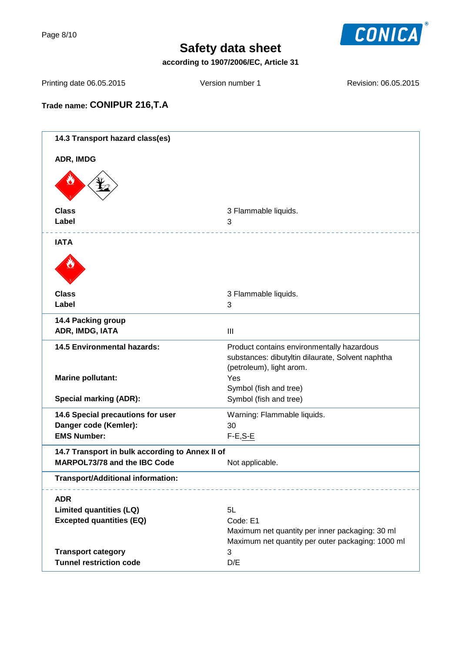Page 8/10



# **Safety data sheet**

**according to 1907/2006/EC, Article 31**

Printing date 06.05.2015 Version number 1 Revision: 06.05.2015

# **Trade name: CONIPUR 216,T.A**

| 14.3 Transport hazard class(es)                            |                                                                                                                             |
|------------------------------------------------------------|-----------------------------------------------------------------------------------------------------------------------------|
| ADR, IMDG                                                  |                                                                                                                             |
|                                                            |                                                                                                                             |
| <b>Class</b>                                               | 3 Flammable liquids.                                                                                                        |
| Label                                                      | 3                                                                                                                           |
| <b>IATA</b>                                                |                                                                                                                             |
|                                                            |                                                                                                                             |
| <b>Class</b>                                               | 3 Flammable liquids.                                                                                                        |
| Label                                                      | 3                                                                                                                           |
| 14.4 Packing group                                         |                                                                                                                             |
| ADR, IMDG, IATA                                            | $\mathbf{III}$                                                                                                              |
| <b>14.5 Environmental hazards:</b>                         | Product contains environmentally hazardous<br>substances: dibutyltin dilaurate, Solvent naphtha<br>(petroleum), light arom. |
| <b>Marine pollutant:</b>                                   | Yes                                                                                                                         |
| <b>Special marking (ADR):</b>                              | Symbol (fish and tree)<br>Symbol (fish and tree)                                                                            |
|                                                            |                                                                                                                             |
| 14.6 Special precautions for user<br>Danger code (Kemler): | Warning: Flammable liquids.<br>30                                                                                           |
| <b>EMS Number:</b>                                         | $F-E, S-E$                                                                                                                  |
| 14.7 Transport in bulk according to Annex II of            |                                                                                                                             |
| MARPOL73/78 and the IBC Code                               | Not applicable.                                                                                                             |
| Transport/Additional information:                          |                                                                                                                             |
| <b>ADR</b>                                                 |                                                                                                                             |
| <b>Limited quantities (LQ)</b>                             | 5L                                                                                                                          |
| <b>Excepted quantities (EQ)</b>                            | Code: E1                                                                                                                    |
|                                                            | Maximum net quantity per inner packaging: 30 ml<br>Maximum net quantity per outer packaging: 1000 ml                        |
| <b>Transport category</b>                                  | $\sqrt{3}$                                                                                                                  |
| <b>Tunnel restriction code</b>                             | D/E                                                                                                                         |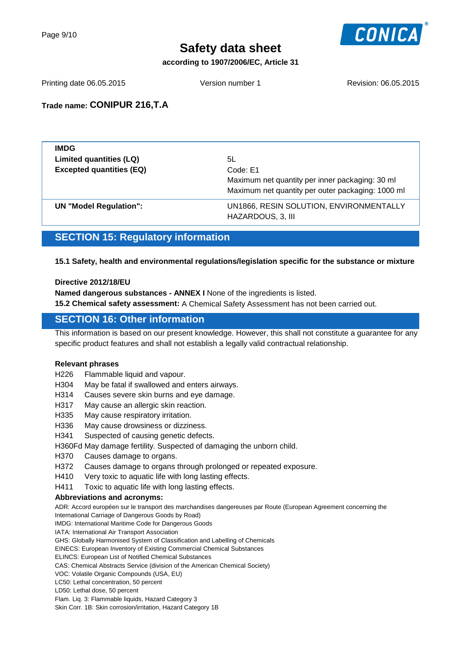

**according to 1907/2006/EC, Article 31**

Printing date 06.05.2015 Version number 1 Revision: 06.05.2015

### **Trade name: CONIPUR 216,T.A**

| <b>IMDG</b>                     |                                                              |
|---------------------------------|--------------------------------------------------------------|
| Limited quantities (LQ)         | 5L                                                           |
| <b>Excepted quantities (EQ)</b> | Code: E1                                                     |
|                                 | Maximum net quantity per inner packaging: 30 ml              |
|                                 | Maximum net quantity per outer packaging: 1000 ml            |
| UN "Model Regulation":          | UN1866, RESIN SOLUTION, ENVIRONMENTALLY<br>HAZARDOUS, 3, III |

# **SECTION 15: Regulatory information**

#### **15.1 Safety, health and environmental regulations/legislation specific for the substance or mixture**

#### **Directive 2012/18/EU**

**Named dangerous substances - ANNEX I** None of the ingredients is listed.

**15.2 Chemical safety assessment:** A Chemical Safety Assessment has not been carried out.

### **SECTION 16: Other information**

This information is based on our present knowledge. However, this shall not constitute a guarantee for any specific product features and shall not establish a legally valid contractual relationship.

#### **Relevant phrases**

- H226 Flammable liquid and vapour.
- H304 May be fatal if swallowed and enters airways.
- H314 Causes severe skin burns and eye damage.
- H317 May cause an allergic skin reaction.
- H335 May cause respiratory irritation.
- H336 May cause drowsiness or dizziness.
- H341 Suspected of causing genetic defects.
- H360Fd May damage fertility. Suspected of damaging the unborn child.
- H370 Causes damage to organs.
- H372 Causes damage to organs through prolonged or repeated exposure.
- H410 Very toxic to aquatic life with long lasting effects.
- H411 Toxic to aquatic life with long lasting effects.

#### **Abbreviations and acronyms:**

ADR: Accord européen sur le transport des marchandises dangereuses par Route (European Agreement concerning the International Carriage of Dangerous Goods by Road)

IMDG: International Maritime Code for Dangerous Goods

IATA: International Air Transport Association

GHS: Globally Harmonised System of Classification and Labelling of Chemicals

EINECS: European Inventory of Existing Commercial Chemical Substances

ELINCS: European List of Notified Chemical Substances

CAS: Chemical Abstracts Service (division of the American Chemical Society)

VOC: Volatile Organic Compounds (USA, EU)

LC50: Lethal concentration, 50 percent

LD50: Lethal dose, 50 percent

Flam. Liq. 3: Flammable liquids, Hazard Category 3 Skin Corr. 1B: Skin corrosion/irritation, Hazard Category 1B